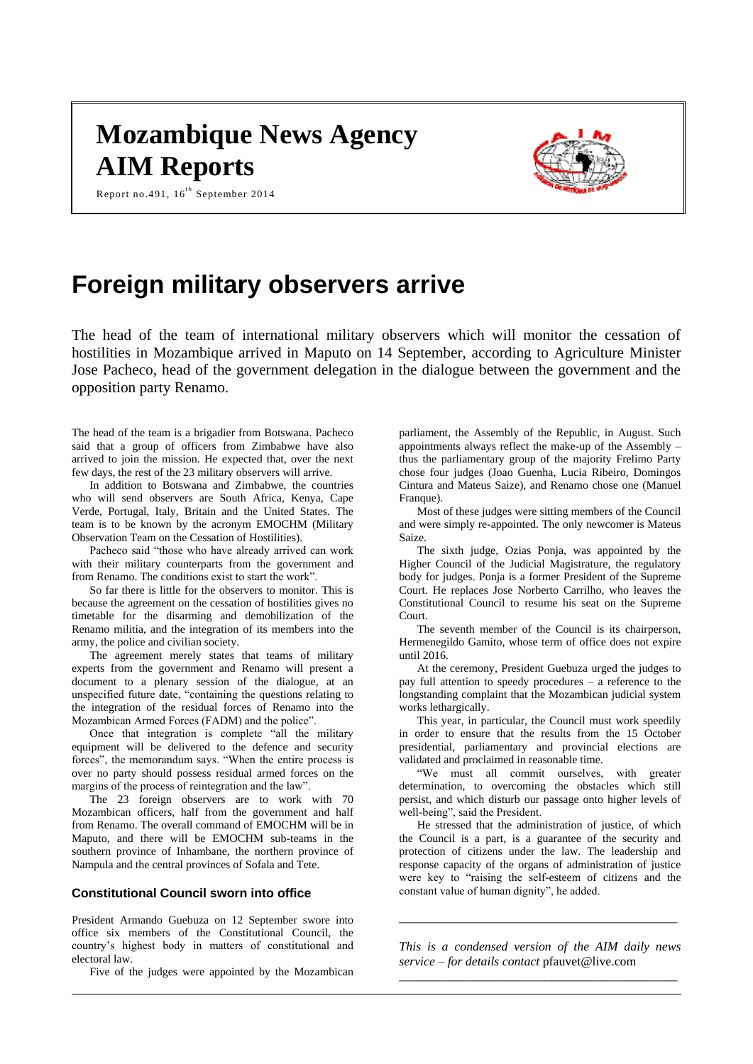# **Mozambique News Agency AIM Reports**

Report no.491, 16<sup>th</sup> September 2014



# **Foreign military observers arrive**

The head of the team of international military observers which will monitor the cessation of hostilities in Mozambique arrived in Maputo on 14 September, according to Agriculture Minister Jose Pacheco, head of the government delegation in the dialogue between the government and the opposition party Renamo.

The head of the team is a brigadier from Botswana. Pacheco said that a group of officers from Zimbabwe have also arrived to join the mission. He expected that, over the next few days, the rest of the 23 military observers will arrive.

In addition to Botswana and Zimbabwe, the countries who will send observers are South Africa, Kenya, Cape Verde, Portugal, Italy, Britain and the United States. The team is to be known by the acronym EMOCHM (Military Observation Team on the Cessation of Hostilities).

Pacheco said "those who have already arrived can work with their military counterparts from the government and from Renamo. The conditions exist to start the work".

So far there is little for the observers to monitor. This is because the agreement on the cessation of hostilities gives no timetable for the disarming and demobilization of the Renamo militia, and the integration of its members into the army, the police and civilian society.

The agreement merely states that teams of military experts from the government and Renamo will present a document to a plenary session of the dialogue, at an unspecified future date, "containing the questions relating to the integration of the residual forces of Renamo into the Mozambican Armed Forces (FADM) and the police".

Once that integration is complete "all the military equipment will be delivered to the defence and security forces", the memorandum says. "When the entire process is over no party should possess residual armed forces on the margins of the process of reintegration and the law".

The 23 foreign observers are to work with 70 Mozambican officers, half from the government and half from Renamo. The overall command of EMOCHM will be in Maputo, and there will be EMOCHM sub-teams in the southern province of Inhambane, the northern province of Nampula and the central provinces of Sofala and Tete.

# **Constitutional Council sworn into office**

President Armando Guebuza on 12 September swore into office six members of the Constitutional Council, the country's highest body in matters of constitutional and electoral law.

Five of the judges were appointed by the Mozambican

parliament, the Assembly of the Republic, in August. Such appointments always reflect the make-up of the Assembly – thus the parliamentary group of the majority Frelimo Party chose four judges (Joao Guenha, Lucia Ribeiro, Domingos Cintura and Mateus Saize), and Renamo chose one (Manuel Franque).

Most of these judges were sitting members of the Council and were simply re-appointed. The only newcomer is Mateus Saize.

The sixth judge, Ozias Ponja, was appointed by the Higher Council of the Judicial Magistrature, the regulatory body for judges. Ponja is a former President of the Supreme Court. He replaces Jose Norberto Carrilho, who leaves the Constitutional Council to resume his seat on the Supreme Court.

The seventh member of the Council is its chairperson, Hermenegildo Gamito, whose term of office does not expire until 2016.

At the ceremony, President Guebuza urged the judges to pay full attention to speedy procedures – a reference to the longstanding complaint that the Mozambican judicial system works lethargically.

This year, in particular, the Council must work speedily in order to ensure that the results from the 15 October presidential, parliamentary and provincial elections are validated and proclaimed in reasonable time.

"We must all commit ourselves, with greater determination, to overcoming the obstacles which still persist, and which disturb our passage onto higher levels of well-being", said the President.

He stressed that the administration of justice, of which the Council is a part, is a guarantee of the security and protection of citizens under the law. The leadership and response capacity of the organs of administration of justice were key to "raising the self-esteem of citizens and the constant value of human dignity", he added.

*This is a condensed version of the AIM daily news service – for details contact* pfauvet@live.com *\_\_\_\_\_\_\_\_\_\_\_\_\_\_\_\_\_\_\_\_\_\_\_\_\_\_\_\_\_\_\_\_\_\_\_\_\_\_\_\_\_\_\_\_*

*\_\_\_\_\_\_\_\_\_\_\_\_\_\_\_\_\_\_\_\_\_\_\_\_\_\_\_\_\_\_\_\_\_\_\_\_\_\_\_\_\_\_\_\_*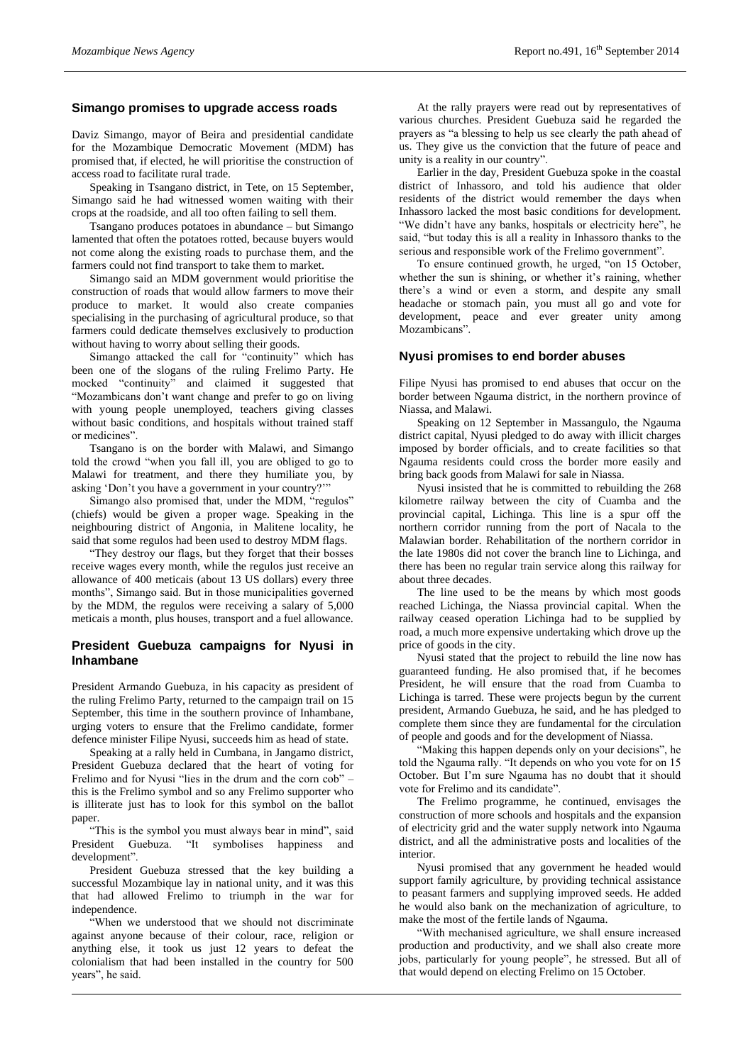# **Simango promises to upgrade access roads**

Daviz Simango, mayor of Beira and presidential candidate for the Mozambique Democratic Movement (MDM) has promised that, if elected, he will prioritise the construction of access road to facilitate rural trade.

Speaking in Tsangano district, in Tete, on 15 September, Simango said he had witnessed women waiting with their crops at the roadside, and all too often failing to sell them.

Tsangano produces potatoes in abundance – but Simango lamented that often the potatoes rotted, because buyers would not come along the existing roads to purchase them, and the farmers could not find transport to take them to market.

Simango said an MDM government would prioritise the construction of roads that would allow farmers to move their produce to market. It would also create companies specialising in the purchasing of agricultural produce, so that farmers could dedicate themselves exclusively to production without having to worry about selling their goods.

Simango attacked the call for "continuity" which has been one of the slogans of the ruling Frelimo Party. He mocked "continuity" and claimed it suggested that "Mozambicans don't want change and prefer to go on living with young people unemployed, teachers giving classes without basic conditions, and hospitals without trained staff or medicines".

Tsangano is on the border with Malawi, and Simango told the crowd "when you fall ill, you are obliged to go to Malawi for treatment, and there they humiliate you, by asking 'Don't you have a government in your country?'"

Simango also promised that, under the MDM, "regulos" (chiefs) would be given a proper wage. Speaking in the neighbouring district of Angonia, in Malitene locality, he said that some regulos had been used to destroy MDM flags.

"They destroy our flags, but they forget that their bosses receive wages every month, while the regulos just receive an allowance of 400 meticais (about 13 US dollars) every three months", Simango said. But in those municipalities governed by the MDM, the regulos were receiving a salary of 5,000 meticais a month, plus houses, transport and a fuel allowance.

# **President Guebuza campaigns for Nyusi in Inhambane**

President Armando Guebuza, in his capacity as president of the ruling Frelimo Party, returned to the campaign trail on 15 September, this time in the southern province of Inhambane, urging voters to ensure that the Frelimo candidate, former defence minister Filipe Nyusi, succeeds him as head of state.

Speaking at a rally held in Cumbana, in Jangamo district, President Guebuza declared that the heart of voting for Frelimo and for Nyusi "lies in the drum and the corn cob" – this is the Frelimo symbol and so any Frelimo supporter who is illiterate just has to look for this symbol on the ballot paper.

"This is the symbol you must always bear in mind", said President Guebuza. "It symbolises happiness and development".

President Guebuza stressed that the key building a successful Mozambique lay in national unity, and it was this that had allowed Frelimo to triumph in the war for independence.

"When we understood that we should not discriminate against anyone because of their colour, race, religion or anything else, it took us just 12 years to defeat the colonialism that had been installed in the country for 500 years", he said.

At the rally prayers were read out by representatives of various churches. President Guebuza said he regarded the prayers as "a blessing to help us see clearly the path ahead of us. They give us the conviction that the future of peace and unity is a reality in our country".

Earlier in the day, President Guebuza spoke in the coastal district of Inhassoro, and told his audience that older residents of the district would remember the days when Inhassoro lacked the most basic conditions for development. "We didn't have any banks, hospitals or electricity here", he said, "but today this is all a reality in Inhassoro thanks to the serious and responsible work of the Frelimo government".

To ensure continued growth, he urged, "on 15 October, whether the sun is shining, or whether it's raining, whether there's a wind or even a storm, and despite any small headache or stomach pain, you must all go and vote for development, peace and ever greater unity among Mozambicans".

#### **Nyusi promises to end border abuses**

Filipe Nyusi has promised to end abuses that occur on the border between Ngauma district, in the northern province of Niassa, and Malawi.

Speaking on 12 September in Massangulo, the Ngauma district capital, Nyusi pledged to do away with illicit charges imposed by border officials, and to create facilities so that Ngauma residents could cross the border more easily and bring back goods from Malawi for sale in Niassa.

Nyusi insisted that he is committed to rebuilding the 268 kilometre railway between the city of Cuamba and the provincial capital, Lichinga. This line is a spur off the northern corridor running from the port of Nacala to the Malawian border. Rehabilitation of the northern corridor in the late 1980s did not cover the branch line to Lichinga, and there has been no regular train service along this railway for about three decades.

The line used to be the means by which most goods reached Lichinga, the Niassa provincial capital. When the railway ceased operation Lichinga had to be supplied by road, a much more expensive undertaking which drove up the price of goods in the city.

Nyusi stated that the project to rebuild the line now has guaranteed funding. He also promised that, if he becomes President, he will ensure that the road from Cuamba to Lichinga is tarred. These were projects begun by the current president, Armando Guebuza, he said, and he has pledged to complete them since they are fundamental for the circulation of people and goods and for the development of Niassa.

"Making this happen depends only on your decisions", he told the Ngauma rally. "It depends on who you vote for on 15 October. But I'm sure Ngauma has no doubt that it should vote for Frelimo and its candidate".

The Frelimo programme, he continued, envisages the construction of more schools and hospitals and the expansion of electricity grid and the water supply network into Ngauma district, and all the administrative posts and localities of the interior.

Nyusi promised that any government he headed would support family agriculture, by providing technical assistance to peasant farmers and supplying improved seeds. He added he would also bank on the mechanization of agriculture, to make the most of the fertile lands of Ngauma.

"With mechanised agriculture, we shall ensure increased production and productivity, and we shall also create more jobs, particularly for young people", he stressed. But all of that would depend on electing Frelimo on 15 October.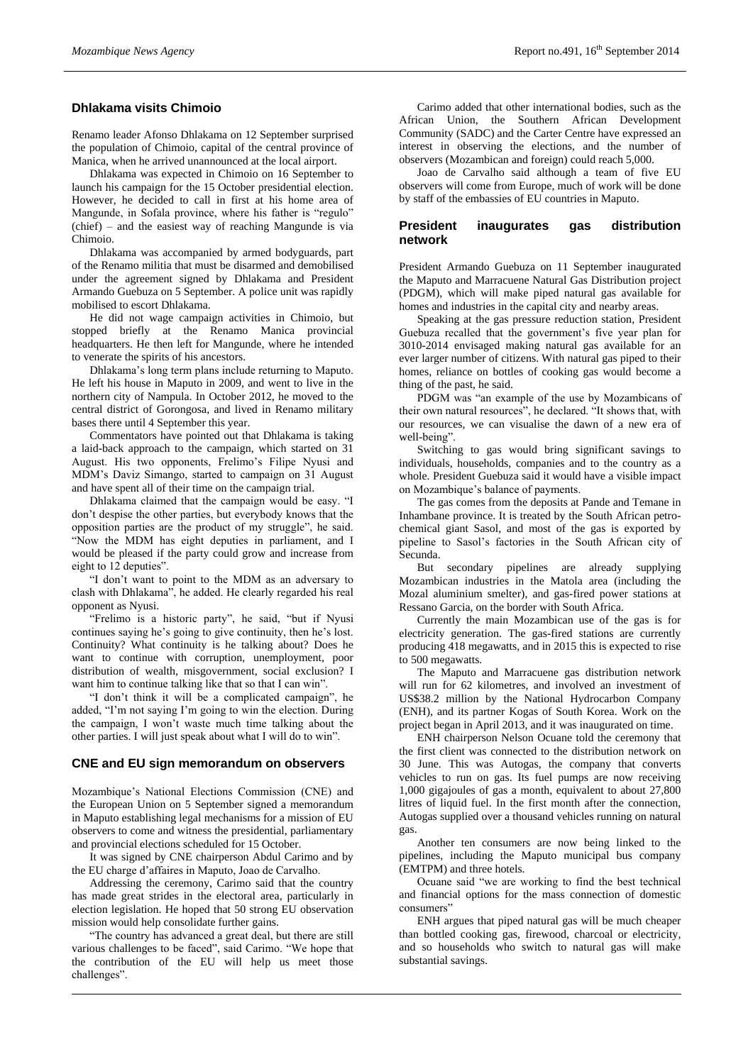# **Dhlakama visits Chimoio**

Renamo leader Afonso Dhlakama on 12 September surprised the population of Chimoio, capital of the central province of Manica, when he arrived unannounced at the local airport.

Dhlakama was expected in Chimoio on 16 September to launch his campaign for the 15 October presidential election. However, he decided to call in first at his home area of Mangunde, in Sofala province, where his father is "regulo" (chief) – and the easiest way of reaching Mangunde is via Chimoio.

Dhlakama was accompanied by armed bodyguards, part of the Renamo militia that must be disarmed and demobilised under the agreement signed by Dhlakama and President Armando Guebuza on 5 September. A police unit was rapidly mobilised to escort Dhlakama.

He did not wage campaign activities in Chimoio, but stopped briefly at the Renamo Manica provincial headquarters. He then left for Mangunde, where he intended to venerate the spirits of his ancestors.

Dhlakama's long term plans include returning to Maputo. He left his house in Maputo in 2009, and went to live in the northern city of Nampula. In October 2012, he moved to the central district of Gorongosa, and lived in Renamo military bases there until 4 September this year.

Commentators have pointed out that Dhlakama is taking a laid-back approach to the campaign, which started on 31 August. His two opponents, Frelimo's Filipe Nyusi and MDM's Daviz Simango, started to campaign on 31 August and have spent all of their time on the campaign trial.

Dhlakama claimed that the campaign would be easy. "I don't despise the other parties, but everybody knows that the opposition parties are the product of my struggle", he said. "Now the MDM has eight deputies in parliament, and I would be pleased if the party could grow and increase from eight to 12 deputies".

"I don't want to point to the MDM as an adversary to clash with Dhlakama", he added. He clearly regarded his real opponent as Nyusi.

"Frelimo is a historic party", he said, "but if Nyusi continues saying he's going to give continuity, then he's lost. Continuity? What continuity is he talking about? Does he want to continue with corruption, unemployment, poor distribution of wealth, misgovernment, social exclusion? I want him to continue talking like that so that I can win".

"I don't think it will be a complicated campaign", he added, "I'm not saying I'm going to win the election. During the campaign, I won't waste much time talking about the other parties. I will just speak about what I will do to win".

# **CNE and EU sign memorandum on observers**

Mozambique's National Elections Commission (CNE) and the European Union on 5 September signed a memorandum in Maputo establishing legal mechanisms for a mission of EU observers to come and witness the presidential, parliamentary and provincial elections scheduled for 15 October.

It was signed by CNE chairperson Abdul Carimo and by the EU charge d'affaires in Maputo, Joao de Carvalho.

Addressing the ceremony, Carimo said that the country has made great strides in the electoral area, particularly in election legislation. He hoped that 50 strong EU observation mission would help consolidate further gains.

"The country has advanced a great deal, but there are still various challenges to be faced", said Carimo. "We hope that the contribution of the EU will help us meet those challenges".

Carimo added that other international bodies, such as the African Union, the Southern African Development Community (SADC) and the Carter Centre have expressed an interest in observing the elections, and the number of observers (Mozambican and foreign) could reach 5,000.

Joao de Carvalho said although a team of five EU observers will come from Europe, much of work will be done by staff of the embassies of EU countries in Maputo.

# **President inaugurates gas distribution network**

President Armando Guebuza on 11 September inaugurated the Maputo and Marracuene Natural Gas Distribution project (PDGM), which will make piped natural gas available for homes and industries in the capital city and nearby areas.

Speaking at the gas pressure reduction station, President Guebuza recalled that the government's five year plan for 3010-2014 envisaged making natural gas available for an ever larger number of citizens. With natural gas piped to their homes, reliance on bottles of cooking gas would become a thing of the past, he said.

PDGM was "an example of the use by Mozambicans of their own natural resources", he declared. "It shows that, with our resources, we can visualise the dawn of a new era of well-being".

Switching to gas would bring significant savings to individuals, households, companies and to the country as a whole. President Guebuza said it would have a visible impact on Mozambique's balance of payments.

The gas comes from the deposits at Pande and Temane in Inhambane province. It is treated by the South African petrochemical giant Sasol, and most of the gas is exported by pipeline to Sasol's factories in the South African city of Secunda.

But secondary pipelines are already supplying Mozambican industries in the Matola area (including the Mozal aluminium smelter), and gas-fired power stations at Ressano Garcia, on the border with South Africa.

Currently the main Mozambican use of the gas is for electricity generation. The gas-fired stations are currently producing 418 megawatts, and in 2015 this is expected to rise to 500 megawatts.

The Maputo and Marracuene gas distribution network will run for 62 kilometres, and involved an investment of US\$38.2 million by the National Hydrocarbon Company (ENH), and its partner Kogas of South Korea. Work on the project began in April 2013, and it was inaugurated on time.

ENH chairperson Nelson Ocuane told the ceremony that the first client was connected to the distribution network on 30 June. This was Autogas, the company that converts vehicles to run on gas. Its fuel pumps are now receiving 1,000 gigajoules of gas a month, equivalent to about 27,800 litres of liquid fuel. In the first month after the connection, Autogas supplied over a thousand vehicles running on natural gas.

Another ten consumers are now being linked to the pipelines, including the Maputo municipal bus company (EMTPM) and three hotels.

Ocuane said "we are working to find the best technical and financial options for the mass connection of domestic consumers"

ENH argues that piped natural gas will be much cheaper than bottled cooking gas, firewood, charcoal or electricity, and so households who switch to natural gas will make substantial savings.